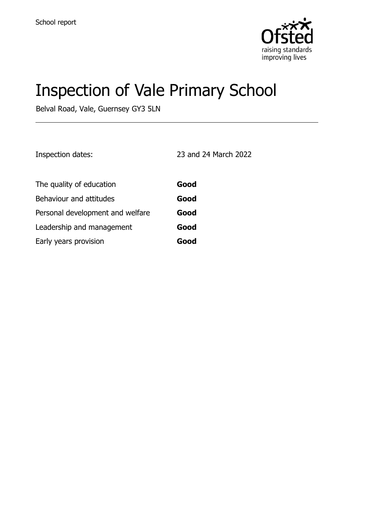

# Inspection of Vale Primary School

Belval Road, Vale, Guernsey GY3 5LN

Inspection dates: 23 and 24 March 2022

| The quality of education         | Good |
|----------------------------------|------|
| Behaviour and attitudes          | Good |
| Personal development and welfare | Good |
| Leadership and management        | Good |
| Early years provision            | Good |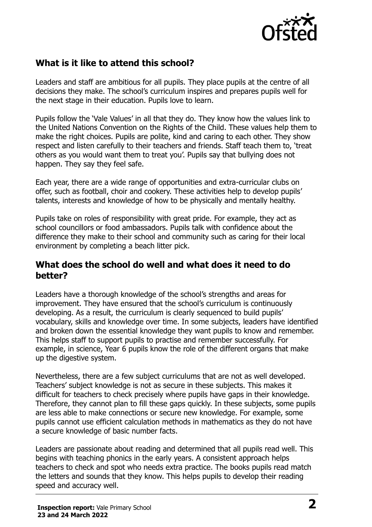

# **What is it like to attend this school?**

Leaders and staff are ambitious for all pupils. They place pupils at the centre of all decisions they make. The school's curriculum inspires and prepares pupils well for the next stage in their education. Pupils love to learn.

Pupils follow the 'Vale Values' in all that they do. They know how the values link to the United Nations Convention on the Rights of the Child. These values help them to make the right choices. Pupils are polite, kind and caring to each other. They show respect and listen carefully to their teachers and friends. Staff teach them to, 'treat others as you would want them to treat you'. Pupils say that bullying does not happen. They say they feel safe.

Each year, there are a wide range of opportunities and extra-curricular clubs on offer, such as football, choir and cookery. These activities help to develop pupils' talents, interests and knowledge of how to be physically and mentally healthy.

Pupils take on roles of responsibility with great pride. For example, they act as school councillors or food ambassadors. Pupils talk with confidence about the difference they make to their school and community such as caring for their local environment by completing a beach litter pick.

#### **What does the school do well and what does it need to do better?**

Leaders have a thorough knowledge of the school's strengths and areas for improvement. They have ensured that the school's curriculum is continuously developing. As a result, the curriculum is clearly sequenced to build pupils' vocabulary, skills and knowledge over time. In some subjects, leaders have identified and broken down the essential knowledge they want pupils to know and remember. This helps staff to support pupils to practise and remember successfully. For example, in science, Year 6 pupils know the role of the different organs that make up the digestive system.

Nevertheless, there are a few subject curriculums that are not as well developed. Teachers' subject knowledge is not as secure in these subjects. This makes it difficult for teachers to check precisely where pupils have gaps in their knowledge. Therefore, they cannot plan to fill these gaps quickly. In these subjects, some pupils are less able to make connections or secure new knowledge. For example, some pupils cannot use efficient calculation methods in mathematics as they do not have a secure knowledge of basic number facts.

Leaders are passionate about reading and determined that all pupils read well. This begins with teaching phonics in the early years. A consistent approach helps teachers to check and spot who needs extra practice. The books pupils read match the letters and sounds that they know. This helps pupils to develop their reading speed and accuracy well.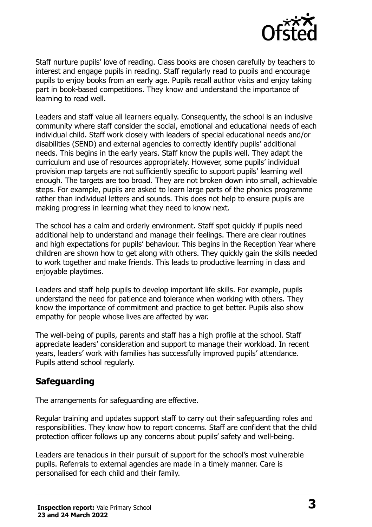

Staff nurture pupils' love of reading. Class books are chosen carefully by teachers to interest and engage pupils in reading. Staff regularly read to pupils and encourage pupils to enjoy books from an early age. Pupils recall author visits and enjoy taking part in book-based competitions. They know and understand the importance of learning to read well.

Leaders and staff value all learners equally. Consequently, the school is an inclusive community where staff consider the social, emotional and educational needs of each individual child. Staff work closely with leaders of special educational needs and/or disabilities (SEND) and external agencies to correctly identify pupils' additional needs. This begins in the early years. Staff know the pupils well. They adapt the curriculum and use of resources appropriately. However, some pupils' individual provision map targets are not sufficiently specific to support pupils' learning well enough. The targets are too broad. They are not broken down into small, achievable steps. For example, pupils are asked to learn large parts of the phonics programme rather than individual letters and sounds. This does not help to ensure pupils are making progress in learning what they need to know next.

The school has a calm and orderly environment. Staff spot quickly if pupils need additional help to understand and manage their feelings. There are clear routines and high expectations for pupils' behaviour. This begins in the Reception Year where children are shown how to get along with others. They quickly gain the skills needed to work together and make friends. This leads to productive learning in class and enjoyable playtimes.

Leaders and staff help pupils to develop important life skills. For example, pupils understand the need for patience and tolerance when working with others. They know the importance of commitment and practice to get better. Pupils also show empathy for people whose lives are affected by war.

The well-being of pupils, parents and staff has a high profile at the school. Staff appreciate leaders' consideration and support to manage their workload. In recent years, leaders' work with families has successfully improved pupils' attendance. Pupils attend school regularly.

#### **Safeguarding**

The arrangements for safeguarding are effective.

Regular training and updates support staff to carry out their safeguarding roles and responsibilities. They know how to report concerns. Staff are confident that the child protection officer follows up any concerns about pupils' safety and well-being.

Leaders are tenacious in their pursuit of support for the school's most vulnerable pupils. Referrals to external agencies are made in a timely manner. Care is personalised for each child and their family.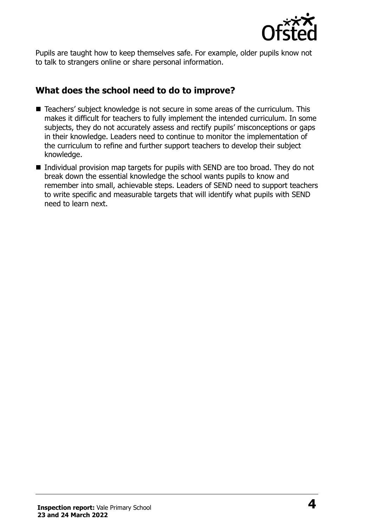

Pupils are taught how to keep themselves safe. For example, older pupils know not to talk to strangers online or share personal information.

### **What does the school need to do to improve?**

- Teachers' subject knowledge is not secure in some areas of the curriculum. This makes it difficult for teachers to fully implement the intended curriculum. In some subjects, they do not accurately assess and rectify pupils' misconceptions or gaps in their knowledge. Leaders need to continue to monitor the implementation of the curriculum to refine and further support teachers to develop their subject knowledge.
- Individual provision map targets for pupils with SEND are too broad. They do not break down the essential knowledge the school wants pupils to know and remember into small, achievable steps. Leaders of SEND need to support teachers to write specific and measurable targets that will identify what pupils with SEND need to learn next.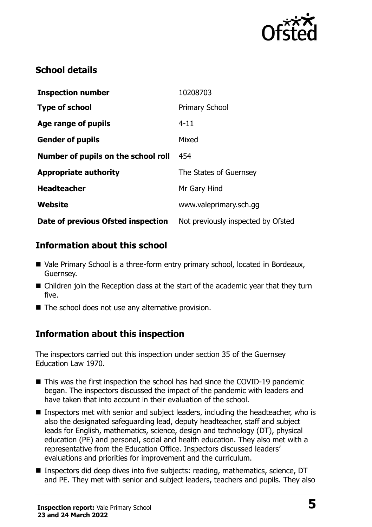

### **School details**

| <b>Inspection number</b>            | 10208703                           |
|-------------------------------------|------------------------------------|
| <b>Type of school</b>               | <b>Primary School</b>              |
| Age range of pupils                 | $4 - 11$                           |
| <b>Gender of pupils</b>             | Mixed                              |
| Number of pupils on the school roll | 454                                |
| <b>Appropriate authority</b>        | The States of Guernsey             |
| <b>Headteacher</b>                  | Mr Gary Hind                       |
| Website                             | www.valeprimary.sch.gg             |
| Date of previous Ofsted inspection  | Not previously inspected by Ofsted |

### **Information about this school**

- Vale Primary School is a three-form entry primary school, located in Bordeaux, Guernsey.
- Children join the Reception class at the start of the academic year that they turn five.
- The school does not use any alternative provision.

# **Information about this inspection**

The inspectors carried out this inspection under section 35 of the Guernsey Education Law 1970.

- This was the first inspection the school has had since the COVID-19 pandemic began. The inspectors discussed the impact of the pandemic with leaders and have taken that into account in their evaluation of the school.
- Inspectors met with senior and subject leaders, including the headteacher, who is also the designated safeguarding lead, deputy headteacher, staff and subject leads for English, mathematics, science, design and technology (DT), physical education (PE) and personal, social and health education. They also met with a representative from the Education Office. Inspectors discussed leaders' evaluations and priorities for improvement and the curriculum.
- Inspectors did deep dives into five subjects: reading, mathematics, science, DT and PE. They met with senior and subject leaders, teachers and pupils. They also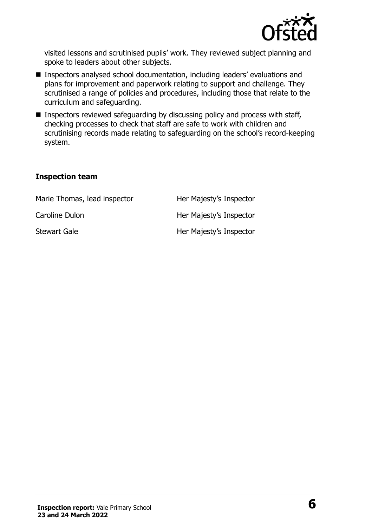

visited lessons and scrutinised pupils' work. They reviewed subject planning and spoke to leaders about other subjects.

- Inspectors analysed school documentation, including leaders' evaluations and plans for improvement and paperwork relating to support and challenge. They scrutinised a range of policies and procedures, including those that relate to the curriculum and safeguarding.
- Inspectors reviewed safeguarding by discussing policy and process with staff, checking processes to check that staff are safe to work with children and scrutinising records made relating to safeguarding on the school's record-keeping system.

#### **Inspection team**

| Marie Thomas, lead inspector | Her Majesty's Inspector |
|------------------------------|-------------------------|
| Caroline Dulon               | Her Majesty's Inspector |
| <b>Stewart Gale</b>          | Her Majesty's Inspector |